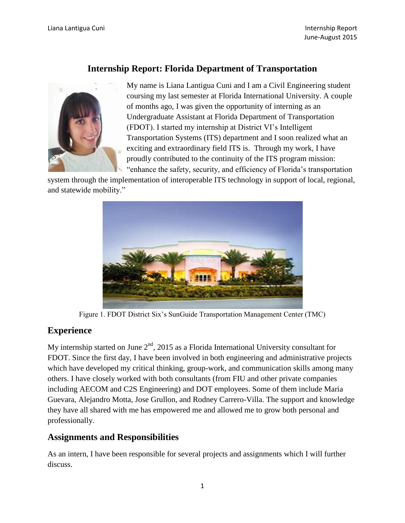# **Internship Report: Florida Department of Transportation**



My name is Liana Lantigua Cuni and I am a Civil Engineering student coursing my last semester at Florida International University. A couple of months ago, I was given the opportunity of interning as an Undergraduate Assistant at Florida Department of Transportation (FDOT). I started my internship at District VI's Intelligent Transportation Systems (ITS) department and I soon realized what an exciting and extraordinary field ITS is. Through my work, I have proudly contributed to the continuity of the ITS program mission: "enhance the safety, security, and efficiency of Florida's transportation

system through the implementation of interoperable ITS technology in support of local, regional, and statewide mobility."



Figure 1. FDOT District Six's SunGuide Transportation Management Center (TMC)

## **Experience**

My internship started on June  $2<sup>nd</sup>$ , 2015 as a Florida International University consultant for FDOT. Since the first day, I have been involved in both engineering and administrative projects which have developed my critical thinking, group-work, and communication skills among many others. I have closely worked with both consultants (from FIU and other private companies including AECOM and C2S Engineering) and DOT employees. Some of them include Maria Guevara, Alejandro Motta, Jose Grullon, and Rodney Carrero-Villa. The support and knowledge they have all shared with me has empowered me and allowed me to grow both personal and professionally.

## **Assignments and Responsibilities**

As an intern, I have been responsible for several projects and assignments which I will further discuss.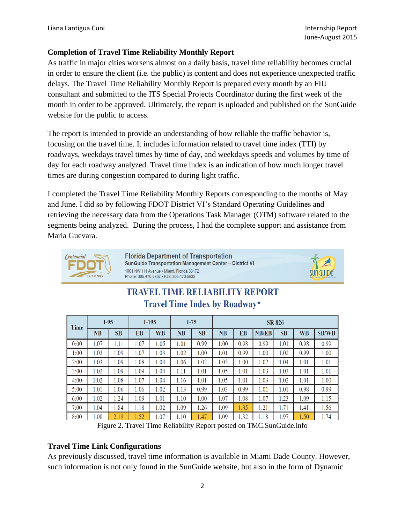### **Completion of Travel Time Reliability Monthly Report**

As traffic in major cities worsens almost on a daily basis, travel time reliability becomes crucial in order to ensure the client (i.e. the public) is content and does not experience unexpected traffic delays. The Travel Time Reliability Monthly Report is prepared every month by an FIU consultant and submitted to the ITS Special Projects Coordinator during the first week of the month in order to be approved. Ultimately, the report is uploaded and published on the SunGuide website for the public to access.

The report is intended to provide an understanding of how reliable the traffic behavior is, focusing on the travel time. It includes information related to travel time index (TTI) by roadways, weekdays travel times by time of day, and weekdays speeds and volumes by time of day for each roadway analyzed. Travel time index is an indication of how much longer travel times are during congestion compared to during light traffic.

I completed the Travel Time Reliability Monthly Reports corresponding to the months of May and June. I did so by following FDOT District VI's Standard Operating Guidelines and retrieving the necessary data from the Operations Task Manager (OTM) software related to the segments being analyzed. During the process, I had the complete support and assistance from Maria Guevara.



**Florida Department of Transportation** SunGuide Transportation Management Center - District VI 1001 NW 111 Avenue · Miami, Florida 33172 Phone: 305.470.5757 • Fax: 305.470.5832



# **TRAVEL TIME RELIABILITY REPORT Travel Time Index by Roadway\***

| <b>Time</b> | $I-95$ |           | $I-195$ |           | $I-75$ |           | <b>SR 826</b> |      |              |      |           |              |
|-------------|--------|-----------|---------|-----------|--------|-----------|---------------|------|--------------|------|-----------|--------------|
|             | NB     | <b>SB</b> | EB      | <b>WB</b> | NB     | <b>SB</b> | <b>NB</b>     | EB   | <b>NB/EB</b> | SB   | <b>WB</b> | <b>SB/WB</b> |
| 0:00        | 1.07   | 1.11      | 1.07    | 1.05      | 1.01   | 0.99      | 1.00          | 0.98 | 0.99         | 1.01 | 0.98      | 0.99         |
| 1:00        | 1.03   | 1.09      | 1.07    | 1.03      | 1.02   | 1.00      | 1.01          | 0.99 | 1.00         | 1.02 | 0.99      | 1.00         |
| 2:00        | 1.03   | 1.09      | 1.08    | 1.04      | 1.06   | 1.02      | 1.03          | 1.00 | 1.02         | 1.04 | 1.01      | 1.01         |
| 3:00        | 1.02   | 1.09      | 1.09    | 1.04      | 1.11   | 1.01      | 1.05          | 1.01 | 1.03         | 1.03 | 1.01      | 1.01         |
| 4:00        | 1.02   | 1.08      | 1.07    | 1.04      | 1.16   | 1.01      | 1.05          | 1.01 | 1.03         | 1.02 | 1.01      | 1.00         |
| 5:00        | 1.01   | 1.06      | 1.06    | 1.02      | 1.13   | 0.99      | 1.03          | 0.99 | 1.01         | 1.01 | 0.98      | 0.99         |
| 6:00        | 1.02   | 1.24      | 1.09    | 1.01      | 1.10   | 1.00      | 1.07          | 1.08 | 1.07         | 1.23 | 1.09      | 1.15         |
| 7:00        | 1.04   | 1.84      | 1.18    | 1.02      | 1.09   | 1.26      | 1.09          | 1.35 | 1.21         | 1.71 | 1.41      | 1.56         |
| 8:00        | .08    | 2.19      | 1.52    | 1.07      | .10    | .47       | 1.09          | .32  | 1.18         | .97  | 1.50      | 1.74         |

Figure 2. Travel Time Reliability Report posted on TMC.SunGuide.info

### **Travel Time Link Configurations**

As previously discussed, travel time information is available in Miami Dade County. However, such information is not only found in the SunGuide website, but also in the form of Dynamic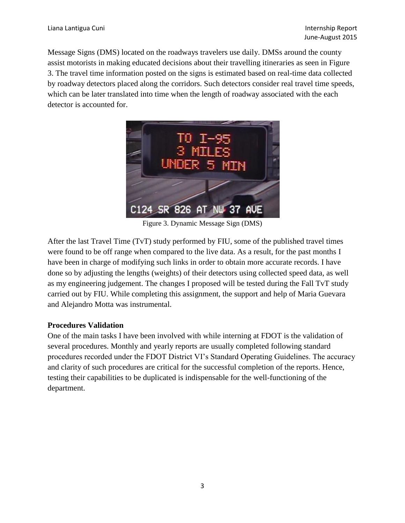Message Signs (DMS) located on the roadways travelers use daily. DMSs around the county assist motorists in making educated decisions about their travelling itineraries as seen in Figure 3. The travel time information posted on the signs is estimated based on real-time data collected by roadway detectors placed along the corridors. Such detectors consider real travel time speeds, which can be later translated into time when the length of roadway associated with the each detector is accounted for.



Figure 3. Dynamic Message Sign (DMS)

After the last Travel Time (TvT) study performed by FIU, some of the published travel times were found to be off range when compared to the live data. As a result, for the past months I have been in charge of modifying such links in order to obtain more accurate records. I have done so by adjusting the lengths (weights) of their detectors using collected speed data, as well as my engineering judgement. The changes I proposed will be tested during the Fall TvT study carried out by FIU. While completing this assignment, the support and help of Maria Guevara and Alejandro Motta was instrumental.

### **Procedures Validation**

One of the main tasks I have been involved with while interning at FDOT is the validation of several procedures. Monthly and yearly reports are usually completed following standard procedures recorded under the FDOT District VI's Standard Operating Guidelines. The accuracy and clarity of such procedures are critical for the successful completion of the reports. Hence, testing their capabilities to be duplicated is indispensable for the well-functioning of the department.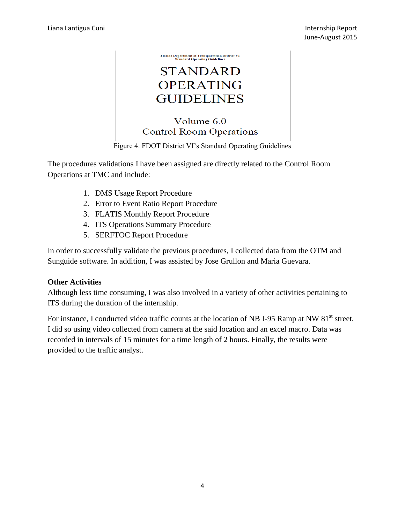

The procedures validations I have been assigned are directly related to the Control Room Operations at TMC and include:

- 1. DMS Usage Report Procedure
- 2. Error to Event Ratio Report Procedure
- 3. FLATIS Monthly Report Procedure
- 4. ITS Operations Summary Procedure
- 5. SERFTOC Report Procedure

In order to successfully validate the previous procedures, I collected data from the OTM and Sunguide software. In addition, I was assisted by Jose Grullon and Maria Guevara.

### **Other Activities**

Although less time consuming, I was also involved in a variety of other activities pertaining to ITS during the duration of the internship.

For instance, I conducted video traffic counts at the location of NB I-95 Ramp at NW 81<sup>st</sup> street. I did so using video collected from camera at the said location and an excel macro. Data was recorded in intervals of 15 minutes for a time length of 2 hours. Finally, the results were provided to the traffic analyst.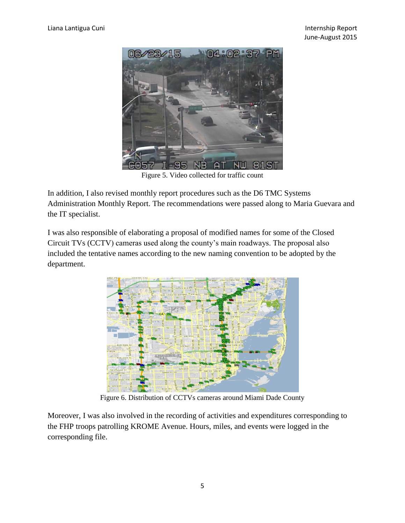

Figure 5. Video collected for traffic count

In addition, I also revised monthly report procedures such as the D6 TMC Systems Administration Monthly Report. The recommendations were passed along to Maria Guevara and the IT specialist.

I was also responsible of elaborating a proposal of modified names for some of the Closed Circuit TVs (CCTV) cameras used along the county's main roadways. The proposal also included the tentative names according to the new naming convention to be adopted by the department.



Figure 6. Distribution of CCTVs cameras around Miami Dade County

Moreover, I was also involved in the recording of activities and expenditures corresponding to the FHP troops patrolling KROME Avenue. Hours, miles, and events were logged in the corresponding file.